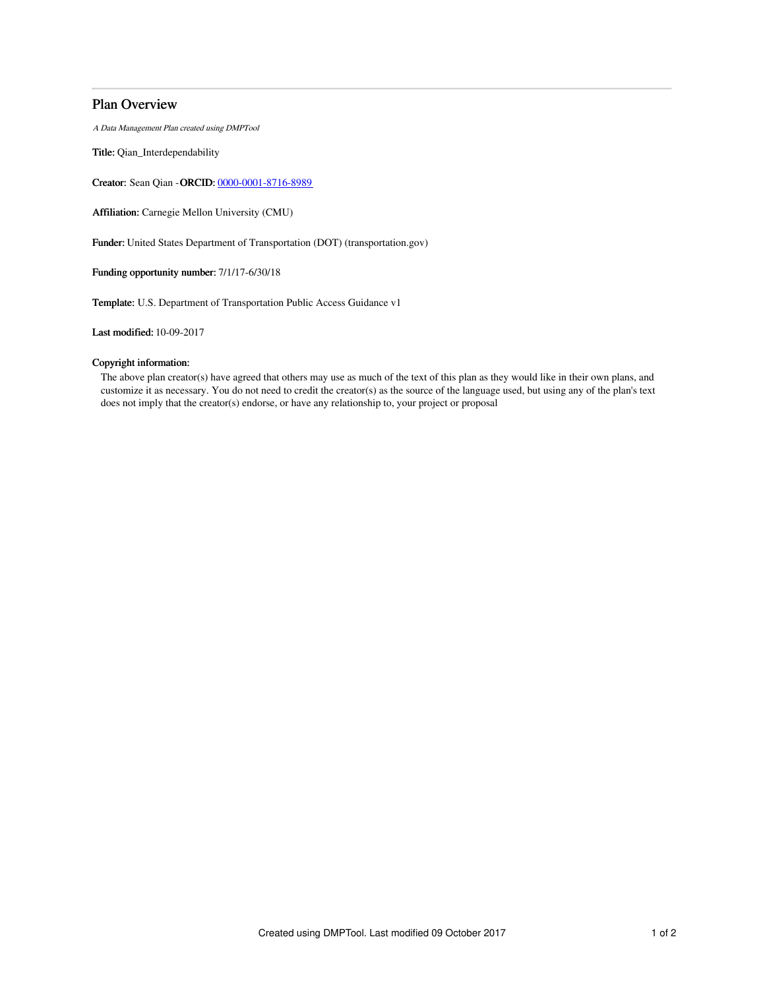# Plan Overview

A Data Management Plan created using DMPTool

Title: Qian\_Interdependability

Creator: Sean Qian -ORCID: [0000-0001-8716-8989](https://orcid.org/0000-0001-8716-8989)

Affiliation: Carnegie Mellon University (CMU)

Funder: United States Department of Transportation (DOT) (transportation.gov)

Funding opportunity number: 7/1/17-6/30/18

Template: U.S. Department of Transportation Public Access Guidance v1

Last modified: 10-09-2017

## Copyright information:

The above plan creator(s) have agreed that others may use as much of the text of this plan as they would like in their own plans, and customize it as necessary. You do not need to credit the creator(s) as the source of the language used, but using any of the plan's text does not imply that the creator(s) endorse, or have any relationship to, your project or proposal